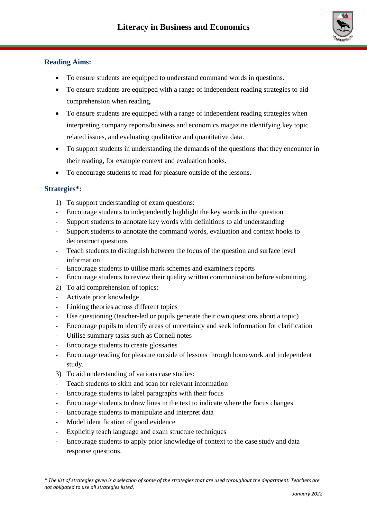

## **Reading Aims:**

- To ensure students are equipped to understand command words in questions.
- To ensure students are equipped with a range of independent reading strategies to aid comprehension when reading.
- To ensure students are equipped with a range of independent reading strategies when interpreting company reports/business and economics magazine identifying key topic related issues, and evaluating qualitative and quantitative data.
- To support students in understanding the demands of the questions that they encounter in their reading, for example context and evaluation hooks.
- To encourage students to read for pleasure outside of the lessons.

## **Strategies\*:**

- 1) To support understanding of exam questions:
- Encourage students to independently highlight the key words in the question
- Support students to annotate key words with definitions to aid understanding
- Support students to annotate the command words, evaluation and context hooks to deconstruct questions
- Teach students to distinguish between the focus of the question and surface level information
- Encourage students to utilise mark schemes and examiners reports
- Encourage students to review their quality written communication before submitting.
- 2) To aid comprehension of topics:
- Activate prior knowledge
- Linking theories across different topics
- Use questioning (teacher-led or pupils generate their own questions about a topic)
- Encourage pupils to identify areas of uncertainty and seek information for clarification
- Utilise summary tasks such as Cornell notes
- Encourage students to create glossaries
- Encourage reading for pleasure outside of lessons through homework and independent study.
- 3) To aid understanding of various case studies:
- Teach students to skim and scan for relevant information
- Encourage students to label paragraphs with their focus
- Encourage students to draw lines in the text to indicate where the focus changes
- Encourage students to manipulate and interpret data
- Model identification of good evidence
- Explicitly teach language and exam structure techniques
- Encourage students to apply prior knowledge of context to the case study and data response questions.